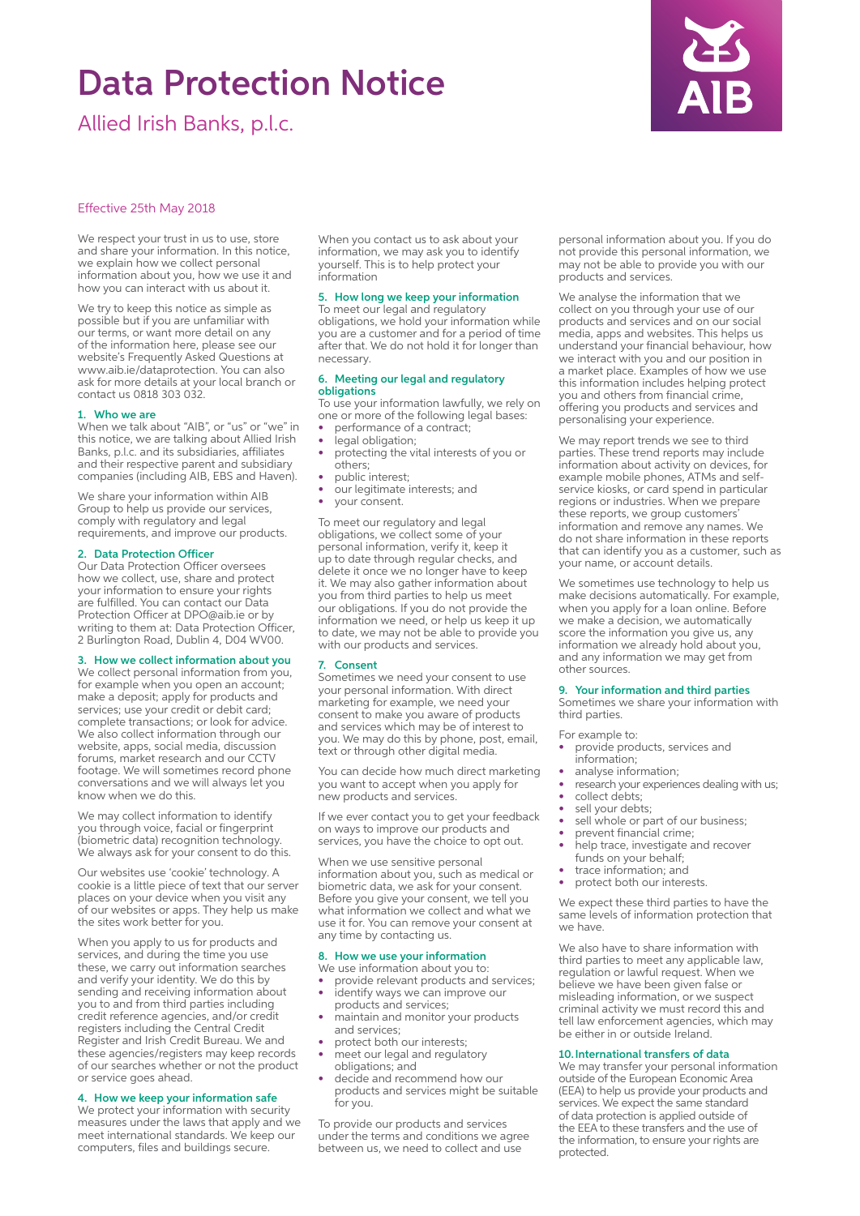# Data Protection Notice

Allied Irish Banks, p.l.c.



# Effective 25th May 2018

We respect your trust in us to use, store and share your information. In this notice, we explain how we collect personal information about you, how we use it and how you can interact with us about it.

We try to keep this notice as simple as possible but if you are unfamiliar with our terms, or want more detail on any of the information here, please see our website's Frequently Asked Questions at www.aib.ie/dataprotection. You can also ask for more details at your local branch or contact us 0818 303 032.

# 1. Who we are

When we talk about "AIB", or "us" or "we" in this notice, we are talking about Allied Irish Banks, p.l.c. and its subsidiaries, affiliates and their respective parent and subsidiary companies (including AIB, EBS and Haven).

We share your information within AIB Group to help us provide our services, comply with regulatory and legal requirements, and improve our products.

### 2. Data Protection Officer

Our Data Protection Officer oversees how we collect, use, share and protect your information to ensure your rights are fulfilled. You can contact our Data Protection Officer at DPO@aib.ie or by writing to them at: Data Protection Officer, 2 Burlington Road, Dublin 4, D04 WV00.

# 3. How we collect information about you

We collect personal information from you, for example when you open an account; make a deposit; apply for products and services; use your credit or debit card; complete transactions; or look for advice. We also collect information through our website, apps, social media, discussion forums, market research and our CCTV footage. We will sometimes record phone conversations and we will always let you know when we do this.

We may collect information to identify you through voice, facial or fingerprint (biometric data) recognition technology. We always ask for your consent to do this.

Our websites use 'cookie' technology. A cookie is a little piece of text that our server places on your device when you visit any of our websites or apps. They help us make the sites work better for you.

When you apply to us for products and services, and during the time you use these, we carry out information searches and verify your identity. We do this by sending and receiving information about you to and from third parties including credit reference agencies, and/or credit registers including the Central Credit Register and Irish Credit Bureau. We and these agencies/registers may keep records of our searches whether or not the product or service goes ahead.

# 4. How we keep your information safe

We protect your information with security measures under the laws that apply and we meet international standards. We keep our computers, files and buildings secure.

When you contact us to ask about your information, we may ask you to identify yourself. This is to help protect your information

#### 5. How long we keep your information

To meet our legal and regulatory obligations, we hold your information while you are a customer and for a period of time after that. We do not hold it for longer than necessary.

#### 6. Meeting our legal and regulatory obligations

To use your information lawfully, we rely on one or more of the following legal bases:

- performance of a contract;
- legal obligation;
- protecting the vital interests of you or others; public interest;
- our legitimate interests; and
- your consent.

To meet our regulatory and legal obligations, we collect some of your personal information, verify it, keep it up to date through regular checks, and delete it once we no longer have to keep it. We may also gather information about you from third parties to help us meet our obligations. If you do not provide the information we need, or help us keep it up to date, we may not be able to provide you with our products and services.

#### 7. Consent

Sometimes we need your consent to use your personal information. With direct marketing for example, we need your consent to make you aware of products and services which may be of interest to you. We may do this by phone, post, email, text or through other digital media.

You can decide how much direct marketing you want to accept when you apply for new products and services.

If we ever contact you to get your feedback on ways to improve our products and services, you have the choice to opt out.

When we use sensitive personal information about you, such as medical or biometric data, we ask for your consent. Before you give your consent, we tell you what information we collect and what we use it for. You can remove your consent at any time by contacting us.

#### 8. How we use your information We use information about you to:

- provide relevant products and services; identify ways we can improve our
- products and services; maintain and monitor your products
- and services;
- protect both our interests; • meet our legal and regulatory
- obligations; and
- decide and recommend how our products and services might be suitable for you.

To provide our products and services under the terms and conditions we agree between us, we need to collect and use

personal information about you. If you do not provide this personal information, we may not be able to provide you with our products and services.

We analyse the information that we collect on you through your use of our products and services and on our social media, apps and websites. This helps us understand your financial behaviour, how we interact with you and our position in a market place. Examples of how we use this information includes helping protect you and others from financial crime, offering you products and services and personalising your experience.

We may report trends we see to third parties. These trend reports may include information about activity on devices, for example mobile phones, ATMs and selfservice kiosks, or card spend in particular regions or industries. When we prepare these reports, we group customers' information and remove any names. We do not share information in these reports that can identify you as a customer, such as your name, or account details.

We sometimes use technology to help us make decisions automatically. For example, when you apply for a loan online. Before we make a decision, we automatically score the information you give us, any information we already hold about you, and any information we may get from other sources.

#### 9. Your information and third parties

Sometimes we share your information with third parties.

For example to:

- provide products, services and
- information; analyse information:
- research your experiences dealing with us;
- collect debts;
- sell your debts;
- sell whole or part of our business;
- prevent financial crime;
- help trace, investigate and recover funds on your behalf;
- trace information; and
- protect both our interests.

We expect these third parties to have the same levels of information protection that we have.

We also have to share information with third parties to meet any applicable law, regulation or lawful request. When we believe we have been given false or misleading information, or we suspect criminal activity we must record this and tell law enforcement agencies, which may be either in or outside Ireland.

# 10.International transfers of data

We may transfer your personal information outside of the European Economic Area (EEA) to help us provide your products and services. We expect the same standard of data protection is applied outside of the EEA to these transfers and the use of the information, to ensure your rights are protected.